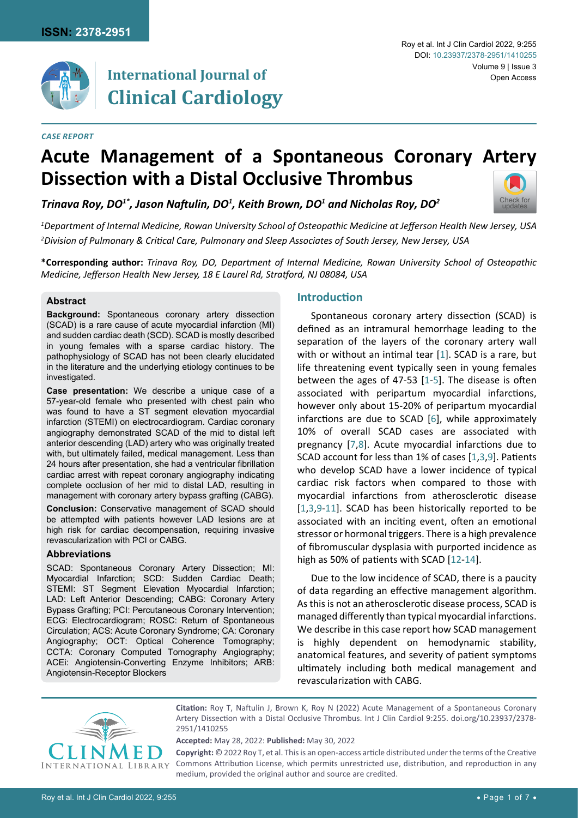

# **International Journal of Clinical Cardiology**

#### *Case Report*

## **Acute Management of a Spontaneous Coronary Artery Dissection with a Distal Occlusive Thrombus**

*Trinava Roy, DO1\*, Jason Naftulin, DO<sup>1</sup> , Keith Brown, DO1 and Nicholas Roy, DO<sup>2</sup>*



*1 Department of Internal Medicine, Rowan University School of Osteopathic Medicine at Jefferson Health New Jersey, USA 2 Division of Pulmonary & Critical Care, Pulmonary and Sleep Associates of South Jersey, New Jersey, USA*

**\*Corresponding author:** *Trinava Roy, DO, Department of Internal Medicine, Rowan University School of Osteopathic Medicine, Jefferson Health New Jersey, 18 E Laurel Rd, Stratford, NJ 08084, USA*

#### **Abstract**

**Background:** Spontaneous coronary artery dissection (SCAD) is a rare cause of acute myocardial infarction (MI) and sudden cardiac death (SCD). SCAD is mostly described in young females with a sparse cardiac history. The pathophysiology of SCAD has not been clearly elucidated in the literature and the underlying etiology continues to be investigated.

**Case presentation:** We describe a unique case of a 57-year-old female who presented with chest pain who was found to have a ST segment elevation myocardial infarction (STEMI) on electrocardiogram. Cardiac coronary angiography demonstrated SCAD of the mid to distal left anterior descending (LAD) artery who was originally treated with, but ultimately failed, medical management. Less than 24 hours after presentation, she had a ventricular fibrillation cardiac arrest with repeat coronary angiography indicating complete occlusion of her mid to distal LAD, resulting in management with coronary artery bypass grafting (CABG).

**Conclusion:** Conservative management of SCAD should be attempted with patients however LAD lesions are at high risk for cardiac decompensation, requiring invasive revascularization with PCI or CABG.

## **Abbreviations**

SCAD: Spontaneous Coronary Artery Dissection; MI: Myocardial Infarction; SCD: Sudden Cardiac Death; STEMI: ST Segment Elevation Myocardial Infarction; LAD: Left Anterior Descending; CABG: Coronary Artery Bypass Grafting; PCI: Percutaneous Coronary Intervention; ECG: Electrocardiogram; ROSC: Return of Spontaneous Circulation; ACS: Acute Coronary Syndrome; CA: Coronary Angiography; OCT: Optical Coherence Tomography; CCTA: Coronary Computed Tomography Angiography; ACEi: Angiotensin-Converting Enzyme Inhibitors; ARB: Angiotensin-Receptor Blockers

## **Introduction**

Spontaneous coronary artery dissection (SCAD) is defined as an intramural hemorrhage leading to the separation of the layers of the coronary artery wall with or without an intimal tear [\[1\]](#page-4-0). SCAD is a rare, but life threatening event typically seen in young females between the ages of 47-53 [\[1](#page-4-0)[-5\]](#page-4-1). The disease is often associated with peripartum myocardial infarctions, however only about 15-20% of peripartum myocardial infarctions are due to SCAD [[6](#page-4-2)], while approximately 10% of overall SCAD cases are associated with pregnancy [[7](#page-4-3),[8\]](#page-5-0). Acute myocardial infarctions due to SCAD account for less than 1% of cases [[1](#page-4-0),[3](#page-4-4),[9\]](#page-5-1). Patients who develop SCAD have a lower incidence of typical cardiac risk factors when compared to those with myocardial infarctions from atherosclerotic disease [[1](#page-4-0),[3](#page-4-4),[9](#page-5-1)[-11](#page-5-2)]. SCAD has been historically reported to be associated with an inciting event, often an emotional stressor or hormonal triggers. There is a high prevalence of fibromuscular dysplasia with purported incidence as high as 50% of patients with SCAD [\[12](#page-5-3)-[14](#page-5-4)].

Due to the low incidence of SCAD, there is a paucity of data regarding an effective management algorithm. As this is not an atherosclerotic disease process, SCAD is managed differently than typical myocardial infarctions. We describe in this case report how SCAD management is highly dependent on hemodynamic stability, anatomical features, and severity of patient symptoms ultimately including both medical management and revascularization with CABG.



**Citation:** Roy T, Naftulin J, Brown K, Roy N (2022) Acute Management of a Spontaneous Coronary Artery Dissection with a Distal Occlusive Thrombus. Int J Clin Cardiol 9:255. [doi.org/10.23937/2378-](https://doi.org/10.23937/2378-2951/1410255) [2951/141025](https://doi.org/10.23937/2378-2951/1410255)5

**Accepted:** May 28, 2022: **Published:** May 30, 2022

**Copyright:** © 2022 Roy T, et al. This is an open-access article distributed under the terms of the Creative Commons Attribution License, which permits unrestricted use, distribution, and reproduction in any medium, provided the original author and source are credited.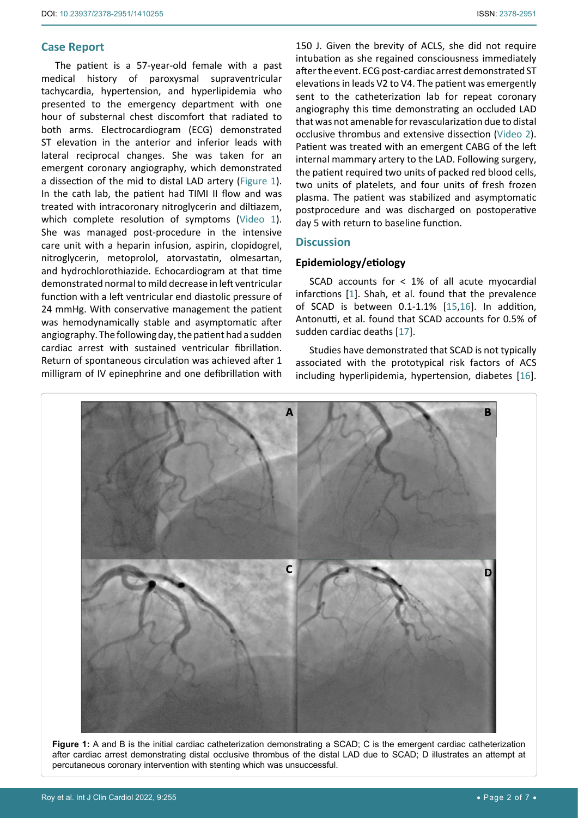## **Case Report**

<span id="page-1-0"></span>Ĩ

The patient is a 57-year-old female with a past medical history of paroxysmal supraventricular tachycardia, hypertension, and hyperlipidemia who presented to the emergency department with one hour of substernal chest discomfort that radiated to both arms. Electrocardiogram (ECG) demonstrated ST elevation in the anterior and inferior leads with lateral reciprocal changes. She was taken for an emergent coronary angiography, which demonstrated a dissection of the mid to distal LAD artery [\(Figure 1](#page-1-0)). In the cath lab, the patient had TIMI II flow and was treated with intracoronary nitroglycerin and diltiazem, which complete resolution of symptoms ([Video 1](https://clinmedjournals.org/articles/ijcc/ijcc-9-255-video-1.mp4)). She was managed post-procedure in the intensive care unit with a heparin infusion, aspirin, clopidogrel, nitroglycerin, metoprolol, atorvastatin, olmesartan, and hydrochlorothiazide. Echocardiogram at that time demonstrated normal to mild decrease in left ventricular function with a left ventricular end diastolic pressure of 24 mmHg. With conservative management the patient was hemodynamically stable and asymptomatic after angiography. The following day, the patient had a sudden cardiac arrest with sustained ventricular fibrillation. Return of spontaneous circulation was achieved after 1 milligram of IV epinephrine and one defibrillation with

150 J. Given the brevity of ACLS, she did not require intubation as she regained consciousness immediately after the event. ECG post-cardiac arrest demonstrated ST elevations in leads V2 to V4. The patient was emergently sent to the catheterization lab for repeat coronary angiography this time demonstrating an occluded LAD that was not amenable for revascularization due to distal occlusive thrombus and extensive dissection [\(Video 2\)](https://clinmedjournals.org/articles/ijcc/ijcc-9-255-video-2.mp4). Patient was treated with an emergent CABG of the left internal mammary artery to the LAD. Following surgery, the patient required two units of packed red blood cells, two units of platelets, and four units of fresh frozen plasma. The patient was stabilized and asymptomatic postprocedure and was discharged on postoperative day 5 with return to baseline function.

## **Discussion**

## **Epidemiology/etiology**

SCAD accounts for < 1% of all acute myocardial infarctions [[1](#page-4-0)]. Shah, et al. found that the prevalence of SCAD is between 0.1-1.1% [[15](#page-5-5),[16\]](#page-5-6). In addition, Antonutti, et al. found that SCAD accounts for 0.5% of sudden cardiac deaths [[17\]](#page-5-7).

Studies have demonstrated that SCAD is not typically associated with the prototypical risk factors of ACS including hyperlipidemia, hypertension, diabetes [\[16\]](#page-5-6).



**Figure 1:** A and B is the initial cardiac catheterization demonstrating a SCAD; C is the emergent cardiac catheterization after cardiac arrest demonstrating distal occlusive thrombus of the distal LAD due to SCAD; D illustrates an attempt at percutaneous coronary intervention with stenting which was unsuccessful.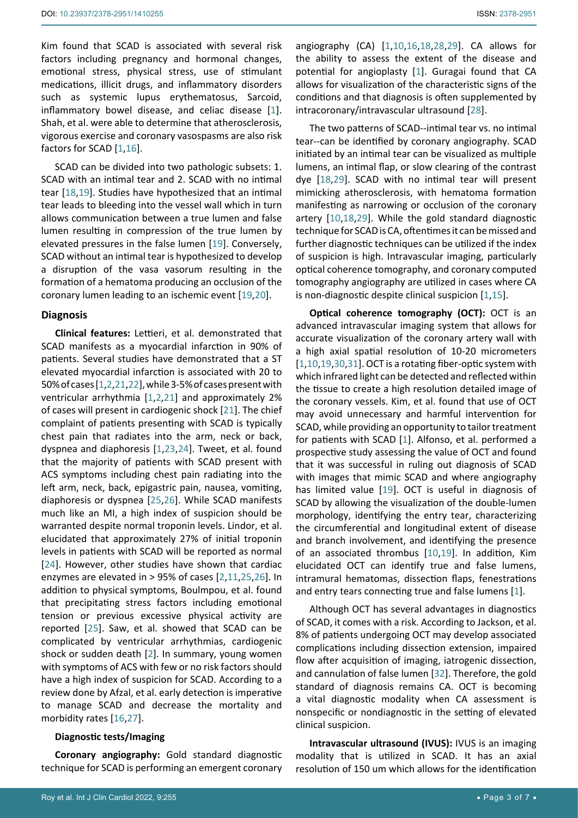Kim found that SCAD is associated with several risk factors including pregnancy and hormonal changes, emotional stress, physical stress, use of stimulant medications, illicit drugs, and inflammatory disorders such as systemic lupus erythematosus, Sarcoid, inflammatory bowel disease, and celiac disease [[1](#page-4-0)]. Shah, et al. were able to determine that atherosclerosis, vigorous exercise and coronary vasospasms are also risk factors for SCAD [\[1](#page-4-0),[16\]](#page-5-6).

SCAD can be divided into two pathologic subsets: 1. SCAD with an intimal tear and 2. SCAD with no intimal tear [\[18](#page-5-9),[19](#page-5-12)]. Studies have hypothesized that an intimal tear leads to bleeding into the vessel wall which in turn allows communication between a true lumen and false lumen resulting in compression of the true lumen by elevated pressures in the false lumen [\[19\]](#page-5-12). Conversely, SCAD without an intimal tear is hypothesized to develop a disruption of the vasa vasorum resulting in the formation of a hematoma producing an occlusion of the coronary lumen leading to an ischemic event [[19](#page-5-12),[20\]](#page-5-16).

#### **Diagnosis**

**Clinical features:** Lettieri, et al. demonstrated that SCAD manifests as a myocardial infarction in 90% of patients. Several studies have demonstrated that a ST elevated myocardial infarction is associated with 20 to 50% of cases [[1](#page-4-0),[2](#page-4-5),[21](#page-5-17),[22](#page-5-18)], while 3-5% of cases present with ventricular arrhythmia [\[1](#page-4-0),[2](#page-4-5),[21](#page-5-17)] and approximately 2% of cases will present in cardiogenic shock [\[21](#page-5-17)]. The chief complaint of patients presenting with SCAD is typically chest pain that radiates into the arm, neck or back, dyspnea and diaphoresis [\[1](#page-4-0),[23](#page-5-19),[24\]](#page-5-20). Tweet, et al. found that the majority of patients with SCAD present with ACS symptoms including chest pain radiating into the left arm, neck, back, epigastric pain, nausea, vomiting, diaphoresis or dyspnea [[25](#page-5-21),[26](#page-5-22)]. While SCAD manifests much like an MI, a high index of suspicion should be warranted despite normal troponin levels. Lindor, et al. elucidated that approximately 27% of initial troponin levels in patients with SCAD will be reported as normal [[24](#page-5-20)]. However, other studies have shown that cardiac enzymes are elevated in > 95% of cases [[2](#page-4-5),[11](#page-5-2),[25](#page-5-21),[26](#page-5-22)]. In addition to physical symptoms, Boulmpou, et al. found that precipitating stress factors including emotional tension or previous excessive physical activity are reported [\[25](#page-5-21)]. Saw, et al. showed that SCAD can be complicated by ventricular arrhythmias, cardiogenic shock or sudden death [\[2\]](#page-4-5). In summary, young women with symptoms of ACS with few or no risk factors should have a high index of suspicion for SCAD. According to a review done by Afzal, et al. early detection is imperative to manage SCAD and decrease the mortality and morbidity rates [\[16](#page-5-6),[27](#page-5-23)].

#### **Diagnostic tests/Imaging**

**Coronary angiography:** Gold standard diagnostic technique for SCAD is performing an emergent coronary

angiography (CA) [[1](#page-4-0),[10](#page-5-8),[16](#page-5-6),[18](#page-5-9),[28](#page-5-10),[29\]](#page-5-11). CA allows for the ability to assess the extent of the disease and potential for angioplasty [\[1\]](#page-4-0). Guragai found that CA allows for visualization of the characteristic signs of the conditions and that diagnosis is often supplemented by intracoronary/intravascular ultrasound [[28\]](#page-5-10).

The two patterns of SCAD--intimal tear vs. no intimal tear--can be identified by coronary angiography. SCAD initiated by an intimal tear can be visualized as multiple lumens, an intimal flap, or slow clearing of the contrast dye [[18](#page-5-9),[29\]](#page-5-11). SCAD with no intimal tear will present mimicking atherosclerosis, with hematoma formation manifesting as narrowing or occlusion of the coronary artery [[10](#page-5-8),[18](#page-5-9),[29\]](#page-5-11). While the gold standard diagnostic technique for SCAD is CA, oftentimes it can be missed and further diagnostic techniques can be utilized if the index of suspicion is high. Intravascular imaging, particularly optical coherence tomography, and coronary computed tomography angiography are utilized in cases where CA is non-diagnostic despite clinical suspicion [\[1](#page-4-0),[15\]](#page-5-5).

**Optical coherence tomography (OCT):** OCT is an advanced intravascular imaging system that allows for accurate visualization of the coronary artery wall with a high axial spatial resolution of 10-20 micrometers [\[1](#page-4-0),[10](#page-5-8),[19](#page-5-12),[30](#page-5-13),[31](#page-5-14)]. OCT is a rotating fiber-optic system with which infrared light can be detected and reflected within the tissue to create a high resolution detailed image of the coronary vessels. Kim, et al. found that use of OCT may avoid unnecessary and harmful intervention for SCAD, while providing an opportunity to tailor treatment for patients with SCAD [[1](#page-4-0)]. Alfonso, et al. performed a prospective study assessing the value of OCT and found that it was successful in ruling out diagnosis of SCAD with images that mimic SCAD and where angiography has limited value [[19\]](#page-5-12). OCT is useful in diagnosis of SCAD by allowing the visualization of the double-lumen morphology, identifying the entry tear, characterizing the circumferential and longitudinal extent of disease and branch involvement, and identifying the presence of an associated thrombus [\[10](#page-5-8),[19](#page-5-12)]. In addition, Kim elucidated OCT can identify true and false lumens, intramural hematomas, dissection flaps, fenestrations and entry tears connecting true and false lumens [[1](#page-4-0)].

Although OCT has several advantages in diagnostics of SCAD, it comes with a risk. According to Jackson, et al. 8% of patients undergoing OCT may develop associated complications including dissection extension, impaired flow after acquisition of imaging, iatrogenic dissection, and cannulation of false lumen [\[32\]](#page-5-15). Therefore, the gold standard of diagnosis remains CA. OCT is becoming a vital diagnostic modality when CA assessment is nonspecific or nondiagnostic in the setting of elevated clinical suspicion.

**Intravascular ultrasound (IVUS):** IVUS is an imaging modality that is utilized in SCAD. It has an axial resolution of 150 um which allows for the identification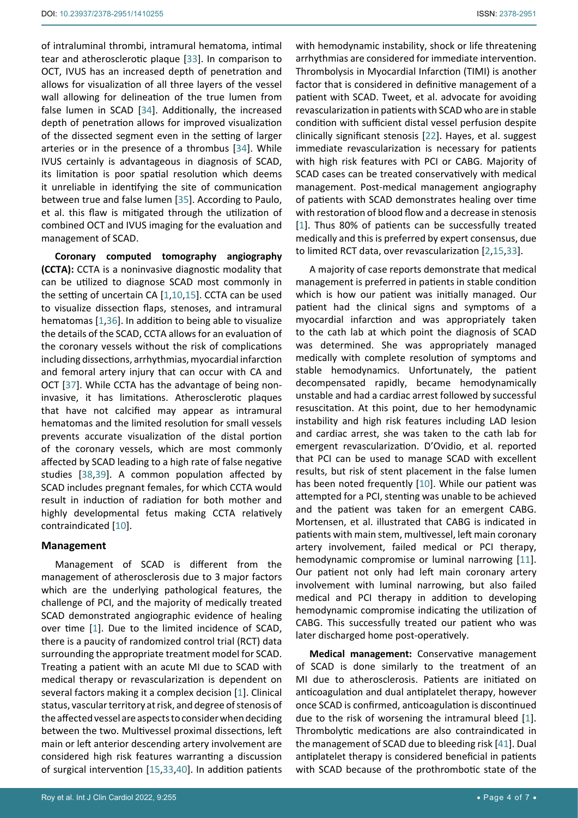management of SCAD.

of intraluminal thrombi, intramural hematoma, intimal tear and atherosclerotic plaque [\[33\]](#page-5-24). In comparison to OCT, IVUS has an increased depth of penetration and allows for visualization of all three layers of the vessel wall allowing for delineation of the true lumen from false lumen in SCAD [[34\]](#page-5-25). Additionally, the increased depth of penetration allows for improved visualization of the dissected segment even in the setting of larger arteries or in the presence of a thrombus [\[34](#page-5-25)]. While IVUS certainly is advantageous in diagnosis of SCAD, its limitation is poor spatial resolution which deems it unreliable in identifying the site of communication between true and false lumen [\[35\]](#page-5-26). According to Paulo, et al. this flaw is mitigated through the utilization of combined OCT and IVUS imaging for the evaluation and

**Coronary computed tomography angiography (CCTA):** CCTA is a noninvasive diagnostic modality that can be utilized to diagnose SCAD most commonly in the setting of uncertain CA [[1](#page-4-0),[10](#page-5-8),[15\]](#page-5-5). CCTA can be used to visualize dissection flaps, stenoses, and intramural hematomas [[1](#page-4-0),[36\]](#page-5-27). In addition to being able to visualize the details of the SCAD, CCTA allows for an evaluation of the coronary vessels without the risk of complications including dissections, arrhythmias, myocardial infarction and femoral artery injury that can occur with CA and OCT [\[37\]](#page-5-28). While CCTA has the advantage of being noninvasive, it has limitations. Atherosclerotic plaques that have not calcified may appear as intramural hematomas and the limited resolution for small vessels prevents accurate visualization of the distal portion of the coronary vessels, which are most commonly affected by SCAD leading to a high rate of false negative studies [\[38](#page-5-29),[39](#page-6-1)]. A common population affected by SCAD includes pregnant females, for which CCTA would result in induction of radiation for both mother and highly developmental fetus making CCTA relatively contraindicated [[10](#page-5-8)].

## **Management**

Management of SCAD is different from the management of atherosclerosis due to 3 major factors which are the underlying pathological features, the challenge of PCI, and the majority of medically treated SCAD demonstrated angiographic evidence of healing over time [\[1\]](#page-4-0). Due to the limited incidence of SCAD, there is a paucity of randomized control trial (RCT) data surrounding the appropriate treatment model for SCAD. Treating a patient with an acute MI due to SCAD with medical therapy or revascularization is dependent on several factors making it a complex decision [[1](#page-4-0)]. Clinical status, vascular territory at risk, and degree of stenosis of the affected vessel are aspects to consider when deciding between the two. Multivessel proximal dissections, left main or left anterior descending artery involvement are considered high risk features warranting a discussion of surgical intervention [[15](#page-5-5),[33](#page-5-24),[40\]](#page-6-2). In addition patients

with hemodynamic instability, shock or life threatening arrhythmias are considered for immediate intervention. Thrombolysis in Myocardial Infarction (TIMI) is another factor that is considered in definitive management of a patient with SCAD. Tweet, et al. advocate for avoiding revascularization in patients with SCAD who are in stable condition with sufficient distal vessel perfusion despite clinically significant stenosis [\[22](#page-5-18)]. Hayes, et al. suggest immediate revascularization is necessary for patients with high risk features with PCI or CABG. Majority of SCAD cases can be treated conservatively with medical management. Post-medical management angiography of patients with SCAD demonstrates healing over time with restoration of blood flow and a decrease in stenosis [\[1\]](#page-4-0). Thus 80% of patients can be successfully treated medically and this is preferred by expert consensus, due to limited RCT data, over revascularization [[2](#page-4-5),[15](#page-5-5),[33\]](#page-5-24).

A majority of case reports demonstrate that medical management is preferred in patients in stable condition which is how our patient was initially managed. Our patient had the clinical signs and symptoms of a myocardial infarction and was appropriately taken to the cath lab at which point the diagnosis of SCAD was determined. She was appropriately managed medically with complete resolution of symptoms and stable hemodynamics. Unfortunately, the patient decompensated rapidly, became hemodynamically unstable and had a cardiac arrest followed by successful resuscitation. At this point, due to her hemodynamic instability and high risk features including LAD lesion and cardiac arrest, she was taken to the cath lab for emergent revascularization. D'Ovidio, et al. reported that PCI can be used to manage SCAD with excellent results, but risk of stent placement in the false lumen has been noted frequently [[10\]](#page-5-8). While our patient was attempted for a PCI, stenting was unable to be achieved and the patient was taken for an emergent CABG. Mortensen, et al. illustrated that CABG is indicated in patients with main stem, multivessel, left main coronary artery involvement, failed medical or PCI therapy, hemodynamic compromise or luminal narrowing [\[11\]](#page-5-2). Our patient not only had left main coronary artery involvement with luminal narrowing, but also failed medical and PCI therapy in addition to developing hemodynamic compromise indicating the utilization of CABG. This successfully treated our patient who was later discharged home post-operatively.

**Medical management:** Conservative management of SCAD is done similarly to the treatment of an MI due to atherosclerosis. Patients are initiated on anticoagulation and dual antiplatelet therapy, however once SCAD is confirmed, anticoagulation is discontinued due to the risk of worsening the intramural bleed [\[1\]](#page-4-0). Thrombolytic medications are also contraindicated in the management of SCAD due to bleeding risk [\[41](#page-6-0)]. Dual antiplatelet therapy is considered beneficial in patients with SCAD because of the prothrombotic state of the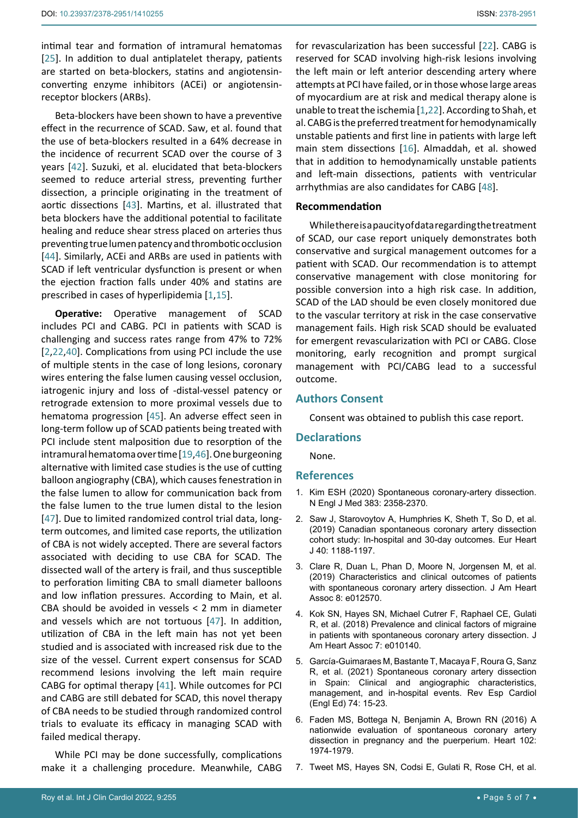intimal tear and formation of intramural hematomas [[25](#page-5-21)]. In addition to dual antiplatelet therapy, patients are started on beta-blockers, statins and angiotensinconverting enzyme inhibitors (ACEi) or angiotensinreceptor blockers (ARBs).

Beta-blockers have been shown to have a preventive effect in the recurrence of SCAD. Saw, et al. found that the use of beta-blockers resulted in a 64% decrease in the incidence of recurrent SCAD over the course of 3 years [[42\]](#page-6-4). Suzuki, et al. elucidated that beta-blockers seemed to reduce arterial stress, preventing further dissection, a principle originating in the treatment of aortic dissections [[43\]](#page-6-5). Martins, et al. illustrated that beta blockers have the additional potential to facilitate healing and reduce shear stress placed on arteries thus preventing true lumen patency and thrombotic occlusion [[44](#page-6-6)]. Similarly, ACEi and ARBs are used in patients with SCAD if left ventricular dysfunction is present or when the ejection fraction falls under 40% and statins are prescribed in cases of hyperlipidemia [\[1](#page-4-0),[15\]](#page-5-5).

**Operative:** Operative management of SCAD includes PCI and CABG. PCI in patients with SCAD is challenging and success rates range from 47% to 72% [[2](#page-4-5),[22](#page-5-18),[40](#page-6-2)]. Complications from using PCI include the use of multiple stents in the case of long lesions, coronary wires entering the false lumen causing vessel occlusion, iatrogenic injury and loss of -distal-vessel patency or retrograde extension to more proximal vessels due to hematoma progression [\[45](#page-6-7)]. An adverse effect seen in long-term follow up of SCAD patients being treated with PCI include stent malposition due to resorption of the intramural hematoma over time [\[19](#page-5-12),[46](#page-6-8)]. One burgeoning alternative with limited case studies is the use of cutting balloon angiography (CBA), which causes fenestration in the false lumen to allow for communication back from the false lumen to the true lumen distal to the lesion [[47](#page-6-9)]. Due to limited randomized control trial data, longterm outcomes, and limited case reports, the utilization of CBA is not widely accepted. There are several factors associated with deciding to use CBA for SCAD. The dissected wall of the artery is frail, and thus susceptible to perforation limiting CBA to small diameter balloons and low inflation pressures. According to Main, et al. CBA should be avoided in vessels < 2 mm in diameter and vessels which are not tortuous [[47](#page-6-9)]. In addition, utilization of CBA in the left main has not yet been studied and is associated with increased risk due to the size of the vessel. Current expert consensus for SCAD recommend lesions involving the left main require CABG for optimal therapy [\[41\]](#page-6-0). While outcomes for PCI and CABG are still debated for SCAD, this novel therapy of CBA needs to be studied through randomized control trials to evaluate its efficacy in managing SCAD with failed medical therapy.

While PCI may be done successfully, complications make it a challenging procedure. Meanwhile, CABG for revascularization has been successful [[22\]](#page-5-18). CABG is reserved for SCAD involving high-risk lesions involving the left main or left anterior descending artery where attempts at PCI have failed, or in those whose large areas of myocardium are at risk and medical therapy alone is unable to treat the ischemia [[1](#page-4-0),[22](#page-5-18)]. According to Shah, et al. CABG is the preferred treatment for hemodynamically unstable patients and first line in patients with large left main stem dissections [[16](#page-5-6)]. Almaddah, et al. showed that in addition to hemodynamically unstable patients and left-main dissections, patients with ventricular arrhythmias are also candidates for CABG [\[48](#page-6-3)].

## **Recommendation**

While there is a paucity of data regarding the treatment of SCAD, our case report uniquely demonstrates both conservative and surgical management outcomes for a patient with SCAD. Our recommendation is to attempt conservative management with close monitoring for possible conversion into a high risk case. In addition, SCAD of the LAD should be even closely monitored due to the vascular territory at risk in the case conservative management fails. High risk SCAD should be evaluated for emergent revascularization with PCI or CABG. Close monitoring, early recognition and prompt surgical management with PCI/CABG lead to a successful outcome.

## **Authors Consent**

Consent was obtained to publish this case report.

## **Declarations**

None.

## **References**

- <span id="page-4-0"></span>1. [Kim ESH \(2020\) Spontaneous coronary-artery dissection.](https://www.nejm.org/doi/full/10.1056/NEJMra2001524)  [N Engl J Med 383: 2358-2370.](https://www.nejm.org/doi/full/10.1056/NEJMra2001524)
- <span id="page-4-5"></span>2. [Saw J, Starovoytov A, Humphries K, Sheth T, So D, et al.](https://pubmed.ncbi.nlm.nih.gov/30698711/)  [\(2019\) Canadian spontaneous coronary artery dissection](https://pubmed.ncbi.nlm.nih.gov/30698711/)  [cohort study: In-hospital and 30-day outcomes. Eur Heart](https://pubmed.ncbi.nlm.nih.gov/30698711/)  [J 40: 1188-1197.](https://pubmed.ncbi.nlm.nih.gov/30698711/)
- <span id="page-4-4"></span>3. [Clare R, Duan L, Phan D, Moore N, Jorgensen M, et al.](https://pubmed.ncbi.nlm.nih.gov/31084345/)  [\(2019\) Characteristics and clinical outcomes of patients](https://pubmed.ncbi.nlm.nih.gov/31084345/)  [with spontaneous coronary artery dissection. J Am Heart](https://pubmed.ncbi.nlm.nih.gov/31084345/)  [Assoc 8: e012570.](https://pubmed.ncbi.nlm.nih.gov/31084345/)
- 4. [Kok SN, Hayes SN, Michael Cutrer F, Raphael CE, Gulati](https://pubmed.ncbi.nlm.nih.gov/30561271/)  [R, et al. \(2018\) Prevalence and clinical factors of migraine](https://pubmed.ncbi.nlm.nih.gov/30561271/)  [in patients with spontaneous coronary artery dissection. J](https://pubmed.ncbi.nlm.nih.gov/30561271/)  [Am Heart Assoc 7: e010140.](https://pubmed.ncbi.nlm.nih.gov/30561271/)
- <span id="page-4-1"></span>5. [García-Guimaraes M, Bastante T, Macaya F, Roura G, Sanz](https://pubmed.ncbi.nlm.nih.gov/32418854/)  [R, et al. \(2021\) Spontaneous coronary artery dissection](https://pubmed.ncbi.nlm.nih.gov/32418854/)  [in Spain: Clinical and angiographic characteristics,](https://pubmed.ncbi.nlm.nih.gov/32418854/)  [management, and in-hospital events. Rev Esp Cardiol](https://pubmed.ncbi.nlm.nih.gov/32418854/)  [\(Engl Ed\) 74: 15-23.](https://pubmed.ncbi.nlm.nih.gov/32418854/)
- <span id="page-4-2"></span>6. [Faden MS, Bottega N, Benjamin A, Brown RN \(2016\) A](https://pubmed.ncbi.nlm.nih.gov/27411842/)  [nationwide evaluation of spontaneous coronary artery](https://pubmed.ncbi.nlm.nih.gov/27411842/)  [dissection in pregnancy and the puerperium. Heart 102:](https://pubmed.ncbi.nlm.nih.gov/27411842/)  [1974-1979.](https://pubmed.ncbi.nlm.nih.gov/27411842/)
- <span id="page-4-3"></span>7. [Tweet MS, Hayes SN, Codsi E, Gulati R, Rose CH, et al.](https://pubmed.ncbi.nlm.nih.gov/28728686/)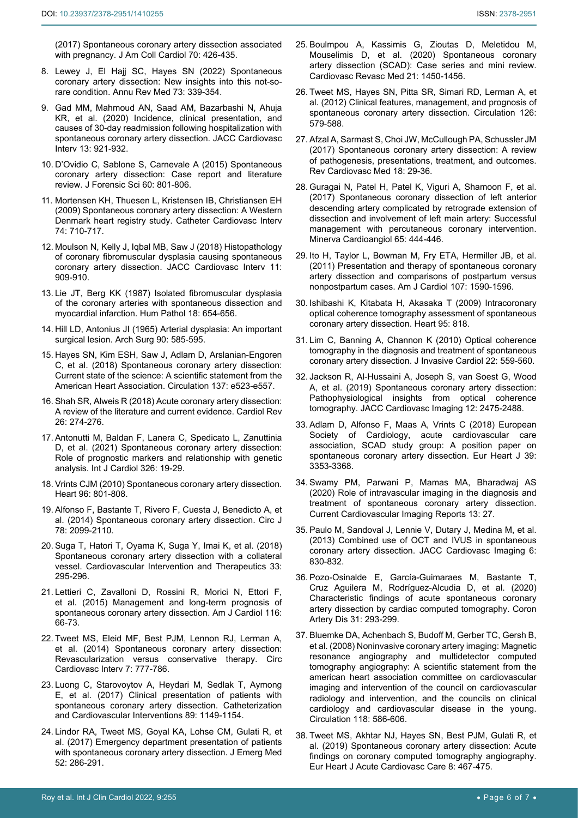[\(2017\) Spontaneous coronary artery dissection associated](https://pubmed.ncbi.nlm.nih.gov/28728686/)  [with pregnancy. J Am Coll Cardiol 70: 426-435.](https://pubmed.ncbi.nlm.nih.gov/28728686/)

- <span id="page-5-0"></span>8. [Lewey J, El Hajj SC, Hayes SN \(2022\) Spontaneous](https://pubmed.ncbi.nlm.nih.gov/35084994/)  [coronary artery dissection: New insights into this not-so](https://pubmed.ncbi.nlm.nih.gov/35084994/)[rare condition. Annu Rev Med 73: 339-354.](https://pubmed.ncbi.nlm.nih.gov/35084994/)
- <span id="page-5-1"></span>9. [Gad MM, Mahmoud AN, Saad AM, Bazarbashi N, Ahuja](https://pubmed.ncbi.nlm.nih.gov/32327089/)  [KR, et al. \(2020\) Incidence, clinical presentation, and](https://pubmed.ncbi.nlm.nih.gov/32327089/)  [causes of 30-day readmission following hospitalization with](https://pubmed.ncbi.nlm.nih.gov/32327089/)  [spontaneous coronary artery dissection. JACC Cardiovasc](https://pubmed.ncbi.nlm.nih.gov/32327089/)  [Interv 13: 921-932.](https://pubmed.ncbi.nlm.nih.gov/32327089/)
- <span id="page-5-8"></span>10. [D'Ovidio C, Sablone S, Carnevale A \(2015\) Spontaneous](https://pubmed.ncbi.nlm.nih.gov/25678077/)  [coronary artery dissection: Case report and literature](https://pubmed.ncbi.nlm.nih.gov/25678077/)  [review. J Forensic Sci 60: 801-806.](https://pubmed.ncbi.nlm.nih.gov/25678077/)
- <span id="page-5-2"></span>11. [Mortensen KH, Thuesen L, Kristensen IB, Christiansen EH](https://pubmed.ncbi.nlm.nih.gov/19496145/)  [\(2009\) Spontaneous coronary artery dissection: A Western](https://pubmed.ncbi.nlm.nih.gov/19496145/)  [Denmark heart registry study. Catheter Cardiovasc Interv](https://pubmed.ncbi.nlm.nih.gov/19496145/)  [74: 710-717.](https://pubmed.ncbi.nlm.nih.gov/19496145/)
- <span id="page-5-3"></span>12. [Moulson N, Kelly J, Iqbal MB, Saw J \(2018\) Histopathology](https://pubmed.ncbi.nlm.nih.gov/29680214/)  [of coronary fibromuscular dysplasia causing spontaneous](https://pubmed.ncbi.nlm.nih.gov/29680214/)  [coronary artery dissection. JACC Cardiovasc Interv 11:](https://pubmed.ncbi.nlm.nih.gov/29680214/)  [909-910.](https://pubmed.ncbi.nlm.nih.gov/29680214/)
- 13. [Lie JT, Berg KK \(1987\) Isolated fibromuscular dysplasia](https://pubmed.ncbi.nlm.nih.gov/3596585/)  [of the coronary arteries with spontaneous dissection and](https://pubmed.ncbi.nlm.nih.gov/3596585/)  [myocardial infarction. Hum Pathol 18: 654-656.](https://pubmed.ncbi.nlm.nih.gov/3596585/)
- <span id="page-5-4"></span>14. Hill LD, Antonius JI (1965) Arterial dysplasia: An important surgical lesion. Arch Surg 90: 585-595.
- <span id="page-5-5"></span>15. [Hayes SN, Kim ESH, Saw J, Adlam D, Arslanian-Engoren](https://pubmed.ncbi.nlm.nih.gov/29472380/)  [C, et al. \(2018\) Spontaneous coronary artery dissection:](https://pubmed.ncbi.nlm.nih.gov/29472380/)  [Current state of the science: A scientific statement from the](https://pubmed.ncbi.nlm.nih.gov/29472380/)  [American Heart Association. Circulation 137: e523-e557.](https://pubmed.ncbi.nlm.nih.gov/29472380/)
- <span id="page-5-6"></span>16. [Shah SR, Alweis R \(2018\) Acute coronary artery dissection:](https://pubmed.ncbi.nlm.nih.gov/29239886/)  [A review of the literature and current evidence. Cardiol Rev](https://pubmed.ncbi.nlm.nih.gov/29239886/)  [26: 274-276.](https://pubmed.ncbi.nlm.nih.gov/29239886/)
- <span id="page-5-7"></span>17. [Antonutti M, Baldan F, Lanera C, Spedicato L, Zanuttinia](https://www.sciencedirect.com/science/article/abs/pii/S0167527320339930)  [D, et al. \(2021\) Spontaneous coronary artery dissection:](https://www.sciencedirect.com/science/article/abs/pii/S0167527320339930)  [Role of prognostic markers and relationship with genetic](https://www.sciencedirect.com/science/article/abs/pii/S0167527320339930)  [analysis. Int J Cardiol 326: 19-29.](https://www.sciencedirect.com/science/article/abs/pii/S0167527320339930)
- <span id="page-5-9"></span>18. [Vrints CJM \(2010\) Spontaneous coronary artery dissection.](https://pubmed.ncbi.nlm.nih.gov/20448134/)  [Heart 96: 801-808.](https://pubmed.ncbi.nlm.nih.gov/20448134/)
- <span id="page-5-12"></span>19. [Alfonso F, Bastante T, Rivero F, Cuesta J, Benedicto A, et](https://pubmed.ncbi.nlm.nih.gov/25131524/)  [al. \(2014\) Spontaneous coronary artery dissection. Circ J](https://pubmed.ncbi.nlm.nih.gov/25131524/)  [78: 2099-2110.](https://pubmed.ncbi.nlm.nih.gov/25131524/)
- <span id="page-5-16"></span>20. [Suga T, Hatori T, Oyama K, Suga Y, Imai K, et al. \(2018\)](https://link.springer.com/article/10.1007/s12928-017-0480-y)  [Spontaneous coronary artery dissection with a collateral](https://link.springer.com/article/10.1007/s12928-017-0480-y)  [vessel. Cardiovascular Intervention and Therapeutics 33:](https://link.springer.com/article/10.1007/s12928-017-0480-y)  [295-296.](https://link.springer.com/article/10.1007/s12928-017-0480-y)
- <span id="page-5-17"></span>21. [Lettieri C, Zavalloni D, Rossini R, Morici N, Ettori F,](https://pubmed.ncbi.nlm.nih.gov/25937347/)  [et al. \(2015\) Management and long-term prognosis of](https://pubmed.ncbi.nlm.nih.gov/25937347/)  [spontaneous coronary artery dissection. Am J Cardiol 116:](https://pubmed.ncbi.nlm.nih.gov/25937347/)  [66-73.](https://pubmed.ncbi.nlm.nih.gov/25937347/)
- <span id="page-5-18"></span>22. [Tweet MS, Eleid MF, Best PJM, Lennon RJ, Lerman A,](https://pubmed.ncbi.nlm.nih.gov/25406203/)  [et al. \(2014\) Spontaneous coronary artery dissection:](https://pubmed.ncbi.nlm.nih.gov/25406203/)  [Revascularization versus conservative therapy. Circ](https://pubmed.ncbi.nlm.nih.gov/25406203/)  [Cardiovasc Interv 7: 777-786.](https://pubmed.ncbi.nlm.nih.gov/25406203/)
- <span id="page-5-19"></span>23. [Luong C, Starovoytov A, Heydari M, Sedlak T, Aymong](https://onlinelibrary.wiley.com/doi/abs/10.1002/ccd.26977)  [E, et al. \(2017\) Clinical presentation of patients with](https://onlinelibrary.wiley.com/doi/abs/10.1002/ccd.26977)  [spontaneous coronary artery dissection. Catheterization](https://onlinelibrary.wiley.com/doi/abs/10.1002/ccd.26977)  [and Cardiovascular Interventions 89: 1149-1154.](https://onlinelibrary.wiley.com/doi/abs/10.1002/ccd.26977)
- <span id="page-5-20"></span>24. [Lindor RA, Tweet MS, Goyal KA, Lohse CM, Gulati R, et](https://pubmed.ncbi.nlm.nih.gov/27727035/)  [al. \(2017\) Emergency department presentation of patients](https://pubmed.ncbi.nlm.nih.gov/27727035/)  [with spontaneous coronary artery dissection. J Emerg Med](https://pubmed.ncbi.nlm.nih.gov/27727035/)  [52: 286-291.](https://pubmed.ncbi.nlm.nih.gov/27727035/)
- <span id="page-5-21"></span>25. [Boulmpou A, Kassimis G, Zioutas D, Meletidou M,](https://pubmed.ncbi.nlm.nih.gov/32173331/)  [Mouselimis D, et al. \(2020\) Spontaneous coronary](https://pubmed.ncbi.nlm.nih.gov/32173331/)  [artery dissection \(SCAD\): Case series and mini review.](https://pubmed.ncbi.nlm.nih.gov/32173331/)  [Cardiovasc Revasc Med 21: 1450-1456.](https://pubmed.ncbi.nlm.nih.gov/32173331/)
- <span id="page-5-22"></span>26. [Tweet MS, Hayes SN, Pitta SR, Simari RD, Lerman A, et](https://pubmed.ncbi.nlm.nih.gov/22800851/)  [al. \(2012\) Clinical features, management, and prognosis of](https://pubmed.ncbi.nlm.nih.gov/22800851/)  [spontaneous coronary artery dissection. Circulation 126:](https://pubmed.ncbi.nlm.nih.gov/22800851/)  [579-588.](https://pubmed.ncbi.nlm.nih.gov/22800851/)
- <span id="page-5-23"></span>27. [Afzal A, Sarmast S, Choi JW, McCullough PA, Schussler JM](https://pubmed.ncbi.nlm.nih.gov/28509891/)  [\(2017\) Spontaneous coronary artery dissection: A review](https://pubmed.ncbi.nlm.nih.gov/28509891/)  [of pathogenesis, presentations, treatment, and outcomes.](https://pubmed.ncbi.nlm.nih.gov/28509891/)  [Rev Cardiovasc Med 18: 29-36.](https://pubmed.ncbi.nlm.nih.gov/28509891/)
- <span id="page-5-10"></span>28. [Guragai N, Patel H, Patel K, Viguri A, Shamoon F, et al.](https://pubmed.ncbi.nlm.nih.gov/28635247/)  [\(2017\) Spontaneous coronary dissection of left anterior](https://pubmed.ncbi.nlm.nih.gov/28635247/)  [descending artery complicated by retrograde extension of](https://pubmed.ncbi.nlm.nih.gov/28635247/)  [dissection and involvement of left main artery: Successful](https://pubmed.ncbi.nlm.nih.gov/28635247/)  [management with percutaneous coronary intervention.](https://pubmed.ncbi.nlm.nih.gov/28635247/)  [Minerva Cardioangiol 65: 444-446.](https://pubmed.ncbi.nlm.nih.gov/28635247/)
- <span id="page-5-11"></span>29. [Ito H, Taylor L, Bowman M, Fry ETA, Hermiller JB, et al.](https://pubmed.ncbi.nlm.nih.gov/21439531/)  [\(2011\) Presentation and therapy of spontaneous coronary](https://pubmed.ncbi.nlm.nih.gov/21439531/)  [artery dissection and comparisons of postpartum versus](https://pubmed.ncbi.nlm.nih.gov/21439531/)  [nonpostpartum cases. Am J Cardiol 107: 1590-1596.](https://pubmed.ncbi.nlm.nih.gov/21439531/)
- <span id="page-5-13"></span>30. [Ishibashi K, Kitabata H, Akasaka T \(2009\) Intracoronary](https://pubmed.ncbi.nlm.nih.gov/19401282/)  [optical coherence tomography assessment of spontaneous](https://pubmed.ncbi.nlm.nih.gov/19401282/)  [coronary artery dissection. Heart 95: 818.](https://pubmed.ncbi.nlm.nih.gov/19401282/)
- <span id="page-5-14"></span>31. [Lim C, Banning A, Channon K \(2010\) Optical coherence](https://pubmed.ncbi.nlm.nih.gov/21041856/)  [tomography in the diagnosis and treatment of spontaneous](https://pubmed.ncbi.nlm.nih.gov/21041856/)  [coronary artery dissection. J Invasive Cardiol 22: 559-560.](https://pubmed.ncbi.nlm.nih.gov/21041856/)
- <span id="page-5-15"></span>32. [Jackson R, Al-Hussaini A, Joseph S, van Soest G, Wood](https://pubmed.ncbi.nlm.nih.gov/30878439/)  [A, et al. \(2019\) Spontaneous coronary artery dissection:](https://pubmed.ncbi.nlm.nih.gov/30878439/)  [Pathophysiological insights from optical coherence](https://pubmed.ncbi.nlm.nih.gov/30878439/)  [tomography. JACC Cardiovasc Imaging 12: 2475-2488.](https://pubmed.ncbi.nlm.nih.gov/30878439/)
- <span id="page-5-24"></span>33. [Adlam D, Alfonso F, Maas A, Vrints C \(2018\) European](https://pubmed.ncbi.nlm.nih.gov/29481627/)  [Society of Cardiology, acute cardiovascular care](https://pubmed.ncbi.nlm.nih.gov/29481627/)  [association, SCAD study group: A position paper on](https://pubmed.ncbi.nlm.nih.gov/29481627/)  [spontaneous coronary artery dissection. Eur Heart J 39:](https://pubmed.ncbi.nlm.nih.gov/29481627/)  [3353-3368.](https://pubmed.ncbi.nlm.nih.gov/29481627/)
- <span id="page-5-25"></span>34. [Swamy PM, Parwani P, Mamas MA, Bharadwaj AS](https://link.springer.com/article/10.1007/s12410-020-09547-x)  [\(2020\) Role of intravascular imaging in the diagnosis and](https://link.springer.com/article/10.1007/s12410-020-09547-x)  [treatment of spontaneous coronary artery dissection.](https://link.springer.com/article/10.1007/s12410-020-09547-x)  [Current Cardiovascular Imaging Reports 13: 27.](https://link.springer.com/article/10.1007/s12410-020-09547-x)
- <span id="page-5-26"></span>35. [Paulo M, Sandoval J, Lennie V, Dutary J, Medina M, et al.](https://pubmed.ncbi.nlm.nih.gov/23747066/)  [\(2013\) Combined use of OCT and IVUS in spontaneous](https://pubmed.ncbi.nlm.nih.gov/23747066/)  [coronary artery dissection. JACC Cardiovasc Imaging 6:](https://pubmed.ncbi.nlm.nih.gov/23747066/)  [830-832.](https://pubmed.ncbi.nlm.nih.gov/23747066/)
- <span id="page-5-27"></span>36. [Pozo-Osinalde E, García-Guimaraes M, Bastante T,](https://pubmed.ncbi.nlm.nih.gov/31658141/)  [Cruz Aguilera M, Rodríguez-Alcudia D, et al. \(2020\)](https://pubmed.ncbi.nlm.nih.gov/31658141/)  [Characteristic findings of acute spontaneous coronary](https://pubmed.ncbi.nlm.nih.gov/31658141/)  [artery dissection by cardiac computed tomography. Coron](https://pubmed.ncbi.nlm.nih.gov/31658141/)  [Artery Dis 31: 293-299.](https://pubmed.ncbi.nlm.nih.gov/31658141/)
- <span id="page-5-28"></span>37. [Bluemke DA, Achenbach S, Budoff M, Gerber TC, Gersh B,](https://pubmed.ncbi.nlm.nih.gov/18586979/)  [et al. \(2008\) Noninvasive coronary artery imaging: Magnetic](https://pubmed.ncbi.nlm.nih.gov/18586979/)  [resonance angiography and multidetector computed](https://pubmed.ncbi.nlm.nih.gov/18586979/)  [tomography angiography: A scientific statement from the](https://pubmed.ncbi.nlm.nih.gov/18586979/)  [american heart association committee on cardiovascular](https://pubmed.ncbi.nlm.nih.gov/18586979/)  [imaging and intervention of the council on cardiovascular](https://pubmed.ncbi.nlm.nih.gov/18586979/)  [radiology and intervention, and the councils on clinical](https://pubmed.ncbi.nlm.nih.gov/18586979/)  [cardiology and cardiovascular disease in the young.](https://pubmed.ncbi.nlm.nih.gov/18586979/)  [Circulation 118: 586-606.](https://pubmed.ncbi.nlm.nih.gov/18586979/)
- <span id="page-5-29"></span>38. [Tweet MS, Akhtar NJ, Hayes SN, Best PJM, Gulati R, et](https://www.ncbi.nlm.nih.gov/pmc/articles/PMC6027604/)  [al. \(2019\) Spontaneous coronary artery dissection: Acute](https://www.ncbi.nlm.nih.gov/pmc/articles/PMC6027604/)  [findings on coronary computed tomography angiography.](https://www.ncbi.nlm.nih.gov/pmc/articles/PMC6027604/)  [Eur Heart J Acute Cardiovasc Care 8: 467-475.](https://www.ncbi.nlm.nih.gov/pmc/articles/PMC6027604/)